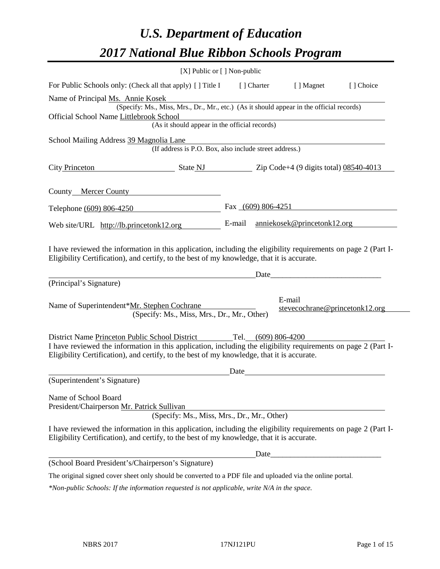# *U.S. Department of Education 2017 National Blue Ribbon Schools Program*

|                                                                                                                                                                                                              | [X] Public or [] Non-public |                    |            |                                          |            |
|--------------------------------------------------------------------------------------------------------------------------------------------------------------------------------------------------------------|-----------------------------|--------------------|------------|------------------------------------------|------------|
| For Public Schools only: (Check all that apply) [] Title I                                                                                                                                                   |                             |                    | [] Charter | [ ] Magnet                               | [ ] Choice |
| Name of Principal Ms. Annie Kosek                                                                                                                                                                            |                             |                    |            |                                          |            |
| (Specify: Ms., Miss, Mrs., Dr., Mr., etc.) (As it should appear in the official records)                                                                                                                     |                             |                    |            |                                          |            |
| Official School Name Littlebrook School<br>(As it should appear in the official records)                                                                                                                     |                             |                    |            |                                          |            |
|                                                                                                                                                                                                              |                             |                    |            |                                          |            |
| School Mailing Address 39 Magnolia Lane<br>(If address is P.O. Box, also include street address.)                                                                                                            |                             |                    |            |                                          |            |
| <b>City Princeton</b><br>$\frac{1}{2}$ State NJ $\frac{1}{2}$ Zip Code+4 (9 digits total) 08540-4013                                                                                                         |                             |                    |            |                                          |            |
| County_Mercer County                                                                                                                                                                                         |                             |                    |            |                                          |            |
| Telephone (609) 806-4250                                                                                                                                                                                     |                             | Fax (609) 806-4251 |            |                                          |            |
| Web site/URL http://lb.princetonk12.org                                                                                                                                                                      |                             | E-mail             |            | anniekosek@princetonk12.org              |            |
| I have reviewed the information in this application, including the eligibility requirements on page 2 (Part I-<br>Eligibility Certification), and certify, to the best of my knowledge, that it is accurate. |                             |                    | Date_      |                                          |            |
| (Principal's Signature)                                                                                                                                                                                      |                             |                    |            |                                          |            |
| Name of Superintendent*Mr. Stephen Cochrane<br>(Specify: Ms., Miss, Mrs., Dr., Mr., Other)                                                                                                                   |                             |                    |            | E-mail<br>stevecochrane@princetonk12.org |            |
| District Name Princeton Public School District                                                                                                                                                               |                             | Tel.               |            | $(609)$ 806-4200                         |            |
| I have reviewed the information in this application, including the eligibility requirements on page 2 (Part I-<br>Eligibility Certification), and certify, to the best of my knowledge, that it is accurate. |                             |                    |            |                                          |            |
|                                                                                                                                                                                                              |                             | Date               |            |                                          |            |
| (Superintendent's Signature)                                                                                                                                                                                 |                             |                    |            |                                          |            |
| Name of School Board<br>President/Chairperson Mr. Patrick Sullivan<br>(Specify: Ms., Miss, Mrs., Dr., Mr., Other)                                                                                            |                             |                    |            |                                          |            |
| I have reviewed the information in this application, including the eligibility requirements on page 2 (Part I-<br>Eligibility Certification), and certify, to the best of my knowledge, that it is accurate. |                             |                    |            |                                          |            |
|                                                                                                                                                                                                              |                             |                    |            |                                          |            |
| (School Board President's/Chairperson's Signature)                                                                                                                                                           |                             |                    |            |                                          |            |
| The original signed cover sheet only should be converted to a PDF file and uploaded via the online portal.                                                                                                   |                             |                    |            |                                          |            |

*\*Non-public Schools: If the information requested is not applicable, write N/A in the space.*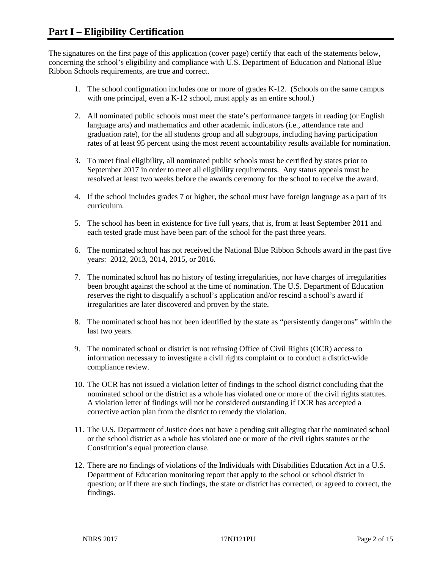The signatures on the first page of this application (cover page) certify that each of the statements below, concerning the school's eligibility and compliance with U.S. Department of Education and National Blue Ribbon Schools requirements, are true and correct.

- 1. The school configuration includes one or more of grades K-12. (Schools on the same campus with one principal, even a K-12 school, must apply as an entire school.)
- 2. All nominated public schools must meet the state's performance targets in reading (or English language arts) and mathematics and other academic indicators (i.e., attendance rate and graduation rate), for the all students group and all subgroups, including having participation rates of at least 95 percent using the most recent accountability results available for nomination.
- 3. To meet final eligibility, all nominated public schools must be certified by states prior to September 2017 in order to meet all eligibility requirements. Any status appeals must be resolved at least two weeks before the awards ceremony for the school to receive the award.
- 4. If the school includes grades 7 or higher, the school must have foreign language as a part of its curriculum.
- 5. The school has been in existence for five full years, that is, from at least September 2011 and each tested grade must have been part of the school for the past three years.
- 6. The nominated school has not received the National Blue Ribbon Schools award in the past five years: 2012, 2013, 2014, 2015, or 2016.
- 7. The nominated school has no history of testing irregularities, nor have charges of irregularities been brought against the school at the time of nomination. The U.S. Department of Education reserves the right to disqualify a school's application and/or rescind a school's award if irregularities are later discovered and proven by the state.
- 8. The nominated school has not been identified by the state as "persistently dangerous" within the last two years.
- 9. The nominated school or district is not refusing Office of Civil Rights (OCR) access to information necessary to investigate a civil rights complaint or to conduct a district-wide compliance review.
- 10. The OCR has not issued a violation letter of findings to the school district concluding that the nominated school or the district as a whole has violated one or more of the civil rights statutes. A violation letter of findings will not be considered outstanding if OCR has accepted a corrective action plan from the district to remedy the violation.
- 11. The U.S. Department of Justice does not have a pending suit alleging that the nominated school or the school district as a whole has violated one or more of the civil rights statutes or the Constitution's equal protection clause.
- 12. There are no findings of violations of the Individuals with Disabilities Education Act in a U.S. Department of Education monitoring report that apply to the school or school district in question; or if there are such findings, the state or district has corrected, or agreed to correct, the findings.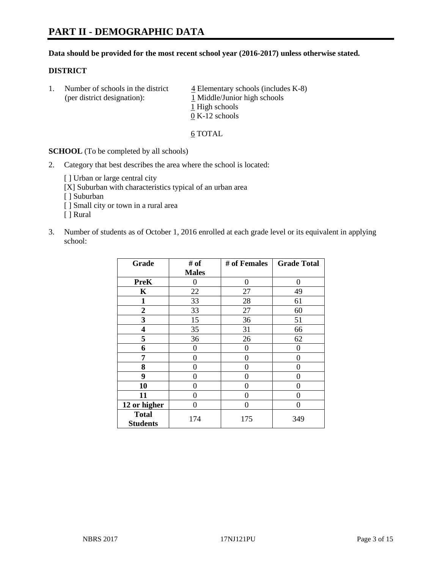# **PART II - DEMOGRAPHIC DATA**

#### **Data should be provided for the most recent school year (2016-2017) unless otherwise stated.**

#### **DISTRICT**

1. Number of schools in the district  $\frac{4}{4}$  Elementary schools (includes K-8) (per district designation): 1 Middle/Junior high schools 1 High schools 0 K-12 schools

#### 6 TOTAL

**SCHOOL** (To be completed by all schools)

2. Category that best describes the area where the school is located:

[] Urban or large central city [X] Suburban with characteristics typical of an urban area

[ ] Suburban

- [ ] Small city or town in a rural area
- [ ] Rural
- 3. Number of students as of October 1, 2016 enrolled at each grade level or its equivalent in applying school:

| Grade                           | # of         | # of Females | <b>Grade Total</b> |
|---------------------------------|--------------|--------------|--------------------|
|                                 | <b>Males</b> |              |                    |
| <b>PreK</b>                     | 0            | 0            | 0                  |
| K                               | 22           | 27           | 49                 |
| $\mathbf{1}$                    | 33           | 28           | 61                 |
| $\overline{2}$                  | 33           | 27           | 60                 |
| 3                               | 15           | 36           | 51                 |
| 4                               | 35           | 31           | 66                 |
| 5                               | 36           | 26           | 62                 |
| 6                               | $\theta$     | $\theta$     | 0                  |
| 7                               | 0            | 0            | 0                  |
| 8                               | $\theta$     | $\theta$     | 0                  |
| 9                               | 0            | 0            | 0                  |
| 10                              | 0            | 0            | 0                  |
| 11                              | 0            | 0            | 0                  |
| 12 or higher                    | 0            | 0            | 0                  |
| <b>Total</b><br><b>Students</b> | 174          | 175          | 349                |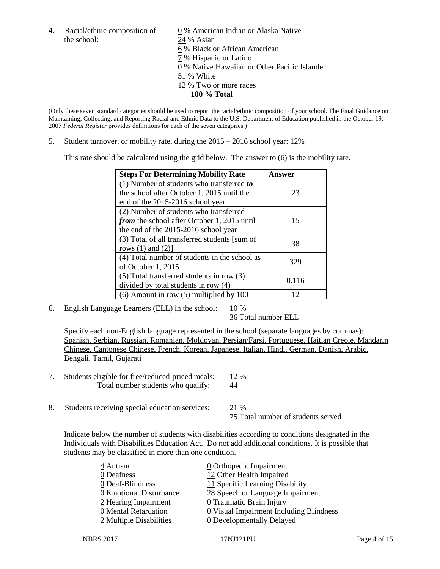the school: 24 % Asian

4. Racial/ethnic composition of  $\qquad 0 \%$  American Indian or Alaska Native 6 % Black or African American 7 % Hispanic or Latino 0 % Native Hawaiian or Other Pacific Islander 51 % White 12 % Two or more races **100 % Total**

(Only these seven standard categories should be used to report the racial/ethnic composition of your school. The Final Guidance on Maintaining, Collecting, and Reporting Racial and Ethnic Data to the U.S. Department of Education published in the October 19, 2007 *Federal Register* provides definitions for each of the seven categories.)

5. Student turnover, or mobility rate, during the 2015 – 2016 school year: 12%

This rate should be calculated using the grid below. The answer to (6) is the mobility rate.

| <b>Steps For Determining Mobility Rate</b>         | Answer |  |
|----------------------------------------------------|--------|--|
| (1) Number of students who transferred to          |        |  |
| the school after October 1, 2015 until the         | 23     |  |
| end of the 2015-2016 school year                   |        |  |
| (2) Number of students who transferred             |        |  |
| <i>from</i> the school after October 1, 2015 until | 15     |  |
| the end of the 2015-2016 school year               |        |  |
| (3) Total of all transferred students [sum of      | 38     |  |
| rows $(1)$ and $(2)$ ]                             |        |  |
| (4) Total number of students in the school as      | 329    |  |
| of October 1, 2015                                 |        |  |
| (5) Total transferred students in row (3)          | 0.116  |  |
| divided by total students in row (4)               |        |  |
| $(6)$ Amount in row $(5)$ multiplied by 100        | 12     |  |

6. English Language Learners (ELL) in the school:  $10\%$ 

36 Total number ELL

Specify each non-English language represented in the school (separate languages by commas): Spanish, Serbian, Russian, Romanian, Moldovan, Persian/Farsi, Portuguese, Haitian Creole, Mandarin Chinese, Cantonese Chinese, French, Korean, Japanese, Italian, Hindi, German, Danish, Arabic, Bengali, Tamil, Gujarati

- 7. Students eligible for free/reduced-priced meals: 12 % Total number students who qualify:  $\frac{44}{1}$
- 8. Students receiving special education services: 21 %

75 Total number of students served

Indicate below the number of students with disabilities according to conditions designated in the Individuals with Disabilities Education Act. Do not add additional conditions. It is possible that students may be classified in more than one condition.

| 28 Speech or Language Impairment                      |
|-------------------------------------------------------|
|                                                       |
| $\underline{0}$ Visual Impairment Including Blindness |
|                                                       |
|                                                       |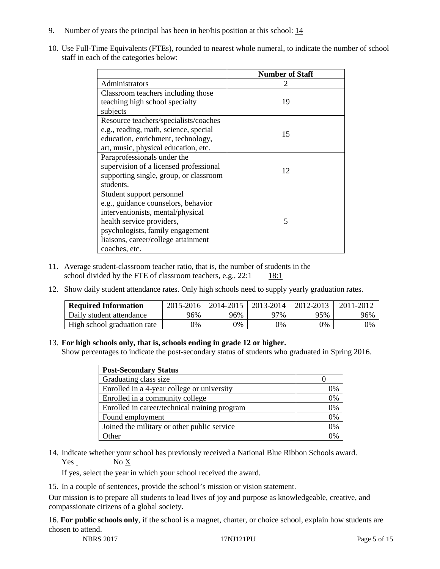- 9. Number of years the principal has been in her/his position at this school:  $\frac{14}{1}$
- 10. Use Full-Time Equivalents (FTEs), rounded to nearest whole numeral, to indicate the number of school staff in each of the categories below:

|                                        | <b>Number of Staff</b> |
|----------------------------------------|------------------------|
| Administrators                         |                        |
| Classroom teachers including those     |                        |
| teaching high school specialty         | 19                     |
| subjects                               |                        |
| Resource teachers/specialists/coaches  |                        |
| e.g., reading, math, science, special  | 15                     |
| education, enrichment, technology,     |                        |
| art, music, physical education, etc.   |                        |
| Paraprofessionals under the            |                        |
| supervision of a licensed professional | 12                     |
| supporting single, group, or classroom |                        |
| students.                              |                        |
| Student support personnel              |                        |
| e.g., guidance counselors, behavior    |                        |
| interventionists, mental/physical      |                        |
| health service providers,              | 5                      |
| psychologists, family engagement       |                        |
| liaisons, career/college attainment    |                        |
| coaches, etc.                          |                        |

- 11. Average student-classroom teacher ratio, that is, the number of students in the school divided by the FTE of classroom teachers, e.g.,  $22:1$  18:1
- 12. Show daily student attendance rates. Only high schools need to supply yearly graduation rates.

| <b>Required Information</b> | 2015-2016 | 2014-2015 | 2013-2014 | 2012-2013 |     |
|-----------------------------|-----------|-----------|-----------|-----------|-----|
| Daily student attendance    | 96%       | 96%       | 97%       | 95%       | 96% |
| High school graduation rate | 0%        | 0%        | 0%        | 9%        | 0%  |

### 13. **For high schools only, that is, schools ending in grade 12 or higher.**

Show percentages to indicate the post-secondary status of students who graduated in Spring 2016.

| <b>Post-Secondary Status</b>                  |    |
|-----------------------------------------------|----|
| Graduating class size                         |    |
| Enrolled in a 4-year college or university    | 0% |
| Enrolled in a community college               | 0% |
| Enrolled in career/technical training program | 0% |
| Found employment                              | 0% |
| Joined the military or other public service   | 0% |
| )ther                                         |    |

14. Indicate whether your school has previously received a National Blue Ribbon Schools award. Yes No X

If yes, select the year in which your school received the award.

15. In a couple of sentences, provide the school's mission or vision statement.

Our mission is to prepare all students to lead lives of joy and purpose as knowledgeable, creative, and compassionate citizens of a global society.

16. **For public schools only**, if the school is a magnet, charter, or choice school, explain how students are chosen to attend.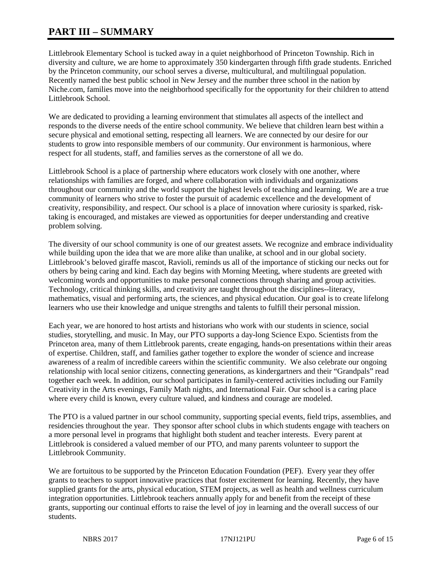# **PART III – SUMMARY**

Littlebrook Elementary School is tucked away in a quiet neighborhood of Princeton Township. Rich in diversity and culture, we are home to approximately 350 kindergarten through fifth grade students. Enriched by the Princeton community, our school serves a diverse, multicultural, and multilingual population. Recently named the best public school in New Jersey and the number three school in the nation by Niche.com, families move into the neighborhood specifically for the opportunity for their children to attend Littlebrook School.

We are dedicated to providing a learning environment that stimulates all aspects of the intellect and responds to the diverse needs of the entire school community. We believe that children learn best within a secure physical and emotional setting, respecting all learners. We are connected by our desire for our students to grow into responsible members of our community. Our environment is harmonious, where respect for all students, staff, and families serves as the cornerstone of all we do.

Littlebrook School is a place of partnership where educators work closely with one another, where relationships with families are forged, and where collaboration with individuals and organizations throughout our community and the world support the highest levels of teaching and learning. We are a true community of learners who strive to foster the pursuit of academic excellence and the development of creativity, responsibility, and respect. Our school is a place of innovation where curiosity is sparked, risktaking is encouraged, and mistakes are viewed as opportunities for deeper understanding and creative problem solving.

The diversity of our school community is one of our greatest assets. We recognize and embrace individuality while building upon the idea that we are more alike than unalike, at school and in our global society. Littlebrook's beloved giraffe mascot, Ravioli, reminds us all of the importance of sticking our necks out for others by being caring and kind. Each day begins with Morning Meeting, where students are greeted with welcoming words and opportunities to make personal connections through sharing and group activities. Technology, critical thinking skills, and creativity are taught throughout the disciplines--literacy, mathematics, visual and performing arts, the sciences, and physical education. Our goal is to create lifelong learners who use their knowledge and unique strengths and talents to fulfill their personal mission.

Each year, we are honored to host artists and historians who work with our students in science, social studies, storytelling, and music. In May, our PTO supports a day-long Science Expo. Scientists from the Princeton area, many of them Littlebrook parents, create engaging, hands-on presentations within their areas of expertise. Children, staff, and families gather together to explore the wonder of science and increase awareness of a realm of incredible careers within the scientific community. We also celebrate our ongoing relationship with local senior citizens, connecting generations, as kindergartners and their "Grandpals" read together each week. In addition, our school participates in family-centered activities including our Family Creativity in the Arts evenings, Family Math nights, and International Fair. Our school is a caring place where every child is known, every culture valued, and kindness and courage are modeled.

The PTO is a valued partner in our school community, supporting special events, field trips, assemblies, and residencies throughout the year. They sponsor after school clubs in which students engage with teachers on a more personal level in programs that highlight both student and teacher interests. Every parent at Littlebrook is considered a valued member of our PTO, and many parents volunteer to support the Littlebrook Community.

We are fortuitous to be supported by the Princeton Education Foundation (PEF). Every year they offer grants to teachers to support innovative practices that foster excitement for learning. Recently, they have supplied grants for the arts, physical education, STEM projects, as well as health and wellness curriculum integration opportunities. Littlebrook teachers annually apply for and benefit from the receipt of these grants, supporting our continual efforts to raise the level of joy in learning and the overall success of our students.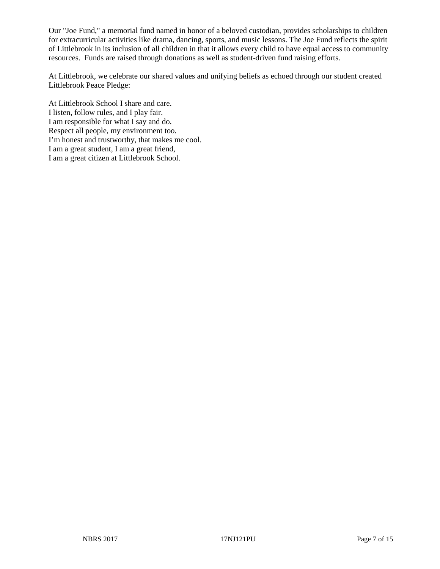Our "Joe Fund," a memorial fund named in honor of a beloved custodian, provides scholarships to children for extracurricular activities like drama, dancing, sports, and music lessons. The Joe Fund reflects the spirit of Littlebrook in its inclusion of all children in that it allows every child to have equal access to community resources. Funds are raised through donations as well as student-driven fund raising efforts.

At Littlebrook, we celebrate our shared values and unifying beliefs as echoed through our student created Littlebrook Peace Pledge:

At Littlebrook School I share and care. I listen, follow rules, and I play fair. I am responsible for what I say and do. Respect all people, my environment too. I'm honest and trustworthy, that makes me cool. I am a great student, I am a great friend, I am a great citizen at Littlebrook School.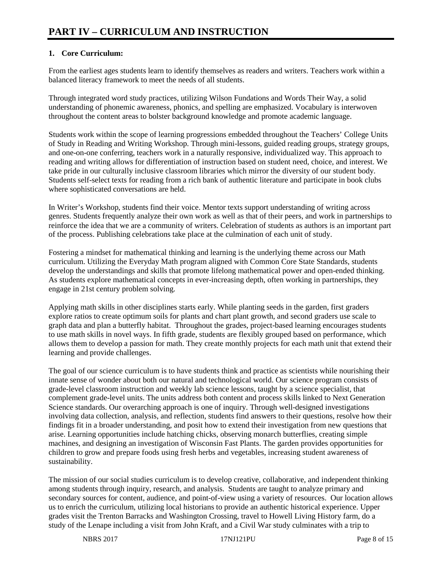# **1. Core Curriculum:**

From the earliest ages students learn to identify themselves as readers and writers. Teachers work within a balanced literacy framework to meet the needs of all students.

Through integrated word study practices, utilizing Wilson Fundations and Words Their Way, a solid understanding of phonemic awareness, phonics, and spelling are emphasized. Vocabulary is interwoven throughout the content areas to bolster background knowledge and promote academic language.

Students work within the scope of learning progressions embedded throughout the Teachers' College Units of Study in Reading and Writing Workshop. Through mini-lessons, guided reading groups, strategy groups, and one-on-one conferring, teachers work in a naturally responsive, individualized way. This approach to reading and writing allows for differentiation of instruction based on student need, choice, and interest. We take pride in our culturally inclusive classroom libraries which mirror the diversity of our student body. Students self-select texts for reading from a rich bank of authentic literature and participate in book clubs where sophisticated conversations are held.

In Writer's Workshop, students find their voice. Mentor texts support understanding of writing across genres. Students frequently analyze their own work as well as that of their peers, and work in partnerships to reinforce the idea that we are a community of writers. Celebration of students as authors is an important part of the process. Publishing celebrations take place at the culmination of each unit of study.

Fostering a mindset for mathematical thinking and learning is the underlying theme across our Math curriculum. Utilizing the Everyday Math program aligned with Common Core State Standards, students develop the understandings and skills that promote lifelong mathematical power and open-ended thinking. As students explore mathematical concepts in ever-increasing depth, often working in partnerships, they engage in 21st century problem solving.

Applying math skills in other disciplines starts early. While planting seeds in the garden, first graders explore ratios to create optimum soils for plants and chart plant growth, and second graders use scale to graph data and plan a butterfly habitat. Throughout the grades, project-based learning encourages students to use math skills in novel ways. In fifth grade, students are flexibly grouped based on performance, which allows them to develop a passion for math. They create monthly projects for each math unit that extend their learning and provide challenges.

The goal of our science curriculum is to have students think and practice as scientists while nourishing their innate sense of wonder about both our natural and technological world. Our science program consists of grade-level classroom instruction and weekly lab science lessons, taught by a science specialist, that complement grade-level units. The units address both content and process skills linked to Next Generation Science standards. Our overarching approach is one of inquiry. Through well-designed investigations involving data collection, analysis, and reflection, students find answers to their questions, resolve how their findings fit in a broader understanding, and posit how to extend their investigation from new questions that arise. Learning opportunities include hatching chicks, observing monarch butterflies, creating simple machines, and designing an investigation of Wisconsin Fast Plants. The garden provides opportunities for children to grow and prepare foods using fresh herbs and vegetables, increasing student awareness of sustainability.

The mission of our social studies curriculum is to develop creative, collaborative, and independent thinking among students through inquiry, research, and analysis. Students are taught to analyze primary and secondary sources for content, audience, and point-of-view using a variety of resources. Our location allows us to enrich the curriculum, utilizing local historians to provide an authentic historical experience. Upper grades visit the Trenton Barracks and Washington Crossing, travel to Howell Living History farm, do a study of the Lenape including a visit from John Kraft, and a Civil War study culminates with a trip to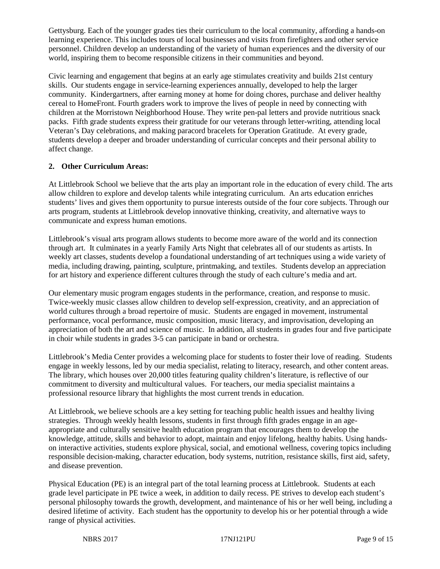Gettysburg. Each of the younger grades ties their curriculum to the local community, affording a hands-on learning experience. This includes tours of local businesses and visits from firefighters and other service personnel. Children develop an understanding of the variety of human experiences and the diversity of our world, inspiring them to become responsible citizens in their communities and beyond.

Civic learning and engagement that begins at an early age stimulates creativity and builds 21st century skills. Our students engage in service-learning experiences annually, developed to help the larger community. Kindergartners, after earning money at home for doing chores, purchase and deliver healthy cereal to HomeFront. Fourth graders work to improve the lives of people in need by connecting with children at the Morristown Neighborhood House. They write pen-pal letters and provide nutritious snack packs. Fifth grade students express their gratitude for our veterans through letter-writing, attending local Veteran's Day celebrations, and making paracord bracelets for Operation Gratitude. At every grade, students develop a deeper and broader understanding of curricular concepts and their personal ability to affect change.

## **2. Other Curriculum Areas:**

At Littlebrook School we believe that the arts play an important role in the education of every child. The arts allow children to explore and develop talents while integrating curriculum. An arts education enriches students' lives and gives them opportunity to pursue interests outside of the four core subjects. Through our arts program, students at Littlebrook develop innovative thinking, creativity, and alternative ways to communicate and express human emotions.

Littlebrook's visual arts program allows students to become more aware of the world and its connection through art. It culminates in a yearly Family Arts Night that celebrates all of our students as artists. In weekly art classes, students develop a foundational understanding of art techniques using a wide variety of media, including drawing, painting, sculpture, printmaking, and textiles. Students develop an appreciation for art history and experience different cultures through the study of each culture's media and art.

Our elementary music program engages students in the performance, creation, and response to music. Twice-weekly music classes allow children to develop self-expression, creativity, and an appreciation of world cultures through a broad repertoire of music. Students are engaged in movement, instrumental performance, vocal performance, music composition, music literacy, and improvisation, developing an appreciation of both the art and science of music. In addition, all students in grades four and five participate in choir while students in grades 3-5 can participate in band or orchestra.

Littlebrook's Media Center provides a welcoming place for students to foster their love of reading. Students engage in weekly lessons, led by our media specialist, relating to literacy, research, and other content areas. The library, which houses over 20,000 titles featuring quality children's literature, is reflective of our commitment to diversity and multicultural values. For teachers, our media specialist maintains a professional resource library that highlights the most current trends in education.

At Littlebrook, we believe schools are a key setting for teaching public health issues and healthy living strategies. Through weekly health lessons, students in first through fifth grades engage in an ageappropriate and culturally sensitive health education program that encourages them to develop the knowledge, attitude, skills and behavior to adopt, maintain and enjoy lifelong, healthy habits. Using handson interactive activities, students explore physical, social, and emotional wellness, covering topics including responsible decision-making, character education, body systems, nutrition, resistance skills, first aid, safety, and disease prevention.

Physical Education (PE) is an integral part of the total learning process at Littlebrook. Students at each grade level participate in PE twice a week, in addition to daily recess. PE strives to develop each student's personal philosophy towards the growth, development, and maintenance of his or her well being, including a desired lifetime of activity. Each student has the opportunity to develop his or her potential through a wide range of physical activities.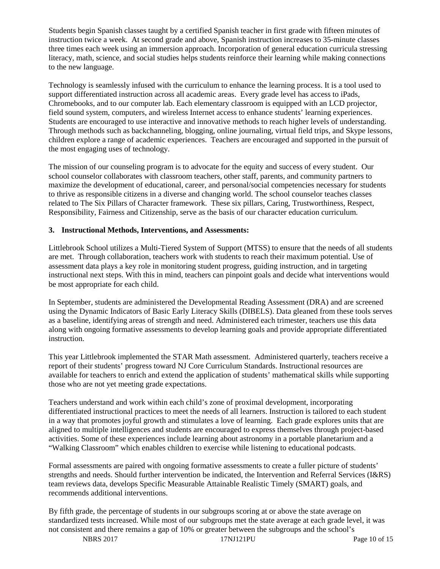Students begin Spanish classes taught by a certified Spanish teacher in first grade with fifteen minutes of instruction twice a week. At second grade and above, Spanish instruction increases to 35-minute classes three times each week using an immersion approach. Incorporation of general education curricula stressing literacy, math, science, and social studies helps students reinforce their learning while making connections to the new language.

Technology is seamlessly infused with the curriculum to enhance the learning process. It is a tool used to support differentiated instruction across all academic areas. Every grade level has access to iPads, Chromebooks, and to our computer lab. Each elementary classroom is equipped with an LCD projector, field sound system, computers, and wireless Internet access to enhance students' learning experiences. Students are encouraged to use interactive and innovative methods to reach higher levels of understanding. Through methods such as backchanneling, blogging, online journaling, virtual field trips, and Skype lessons, children explore a range of academic experiences. Teachers are encouraged and supported in the pursuit of the most engaging uses of technology.

The mission of our counseling program is to advocate for the equity and success of every student. Our school counselor collaborates with classroom teachers, other staff, parents, and community partners to maximize the development of educational, career, and personal/social competencies necessary for students to thrive as responsible citizens in a diverse and changing world. The school counselor teaches classes related to The Six Pillars of Character framework. These six pillars, Caring, Trustworthiness, Respect, Responsibility, Fairness and Citizenship, serve as the basis of our character education curriculum.

## **3. Instructional Methods, Interventions, and Assessments:**

Littlebrook School utilizes a Multi-Tiered System of Support (MTSS) to ensure that the needs of all students are met. Through collaboration, teachers work with students to reach their maximum potential. Use of assessment data plays a key role in monitoring student progress, guiding instruction, and in targeting instructional next steps. With this in mind, teachers can pinpoint goals and decide what interventions would be most appropriate for each child.

In September, students are administered the Developmental Reading Assessment (DRA) and are screened using the Dynamic Indicators of Basic Early Literacy Skills (DIBELS). Data gleaned from these tools serves as a baseline, identifying areas of strength and need. Administered each trimester, teachers use this data along with ongoing formative assessments to develop learning goals and provide appropriate differentiated instruction.

This year Littlebrook implemented the STAR Math assessment. Administered quarterly, teachers receive a report of their students' progress toward NJ Core Curriculum Standards. Instructional resources are available for teachers to enrich and extend the application of students' mathematical skills while supporting those who are not yet meeting grade expectations.

Teachers understand and work within each child's zone of proximal development, incorporating differentiated instructional practices to meet the needs of all learners. Instruction is tailored to each student in a way that promotes joyful growth and stimulates a love of learning. Each grade explores units that are aligned to multiple intelligences and students are encouraged to express themselves through project-based activities. Some of these experiences include learning about astronomy in a portable planetarium and a "Walking Classroom" which enables children to exercise while listening to educational podcasts.

Formal assessments are paired with ongoing formative assessments to create a fuller picture of students' strengths and needs. Should further intervention be indicated, the Intervention and Referral Services (I&RS) team reviews data, develops Specific Measurable Attainable Realistic Timely (SMART) goals, and recommends additional interventions.

By fifth grade, the percentage of students in our subgroups scoring at or above the state average on standardized tests increased. While most of our subgroups met the state average at each grade level, it was not consistent and there remains a gap of 10% or greater between the subgroups and the school's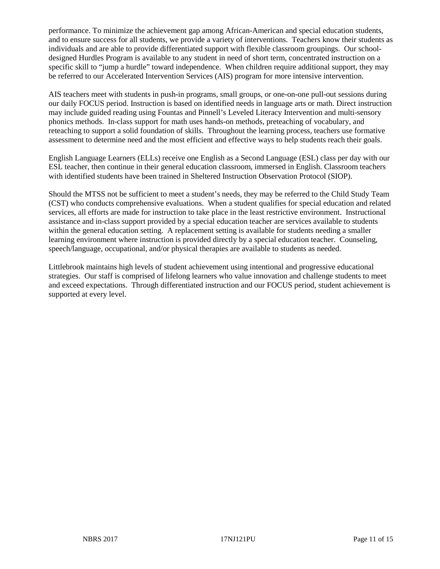performance. To minimize the achievement gap among African-American and special education students, and to ensure success for all students, we provide a variety of interventions. Teachers know their students as individuals and are able to provide differentiated support with flexible classroom groupings. Our schooldesigned Hurdles Program is available to any student in need of short term, concentrated instruction on a specific skill to "jump a hurdle" toward independence. When children require additional support, they may be referred to our Accelerated Intervention Services (AIS) program for more intensive intervention.

AIS teachers meet with students in push-in programs, small groups, or one-on-one pull-out sessions during our daily FOCUS period. Instruction is based on identified needs in language arts or math. Direct instruction may include guided reading using Fountas and Pinnell's Leveled Literacy Intervention and multi-sensory phonics methods. In-class support for math uses hands-on methods, preteaching of vocabulary, and reteaching to support a solid foundation of skills. Throughout the learning process, teachers use formative assessment to determine need and the most efficient and effective ways to help students reach their goals.

English Language Learners (ELLs) receive one English as a Second Language (ESL) class per day with our ESL teacher, then continue in their general education classroom, immersed in English. Classroom teachers with identified students have been trained in Sheltered Instruction Observation Protocol (SIOP).

Should the MTSS not be sufficient to meet a student's needs, they may be referred to the Child Study Team (CST) who conducts comprehensive evaluations. When a student qualifies for special education and related services, all efforts are made for instruction to take place in the least restrictive environment. Instructional assistance and in-class support provided by a special education teacher are services available to students within the general education setting. A replacement setting is available for students needing a smaller learning environment where instruction is provided directly by a special education teacher. Counseling, speech/language, occupational, and/or physical therapies are available to students as needed.

Littlebrook maintains high levels of student achievement using intentional and progressive educational strategies. Our staff is comprised of lifelong learners who value innovation and challenge students to meet and exceed expectations. Through differentiated instruction and our FOCUS period, student achievement is supported at every level.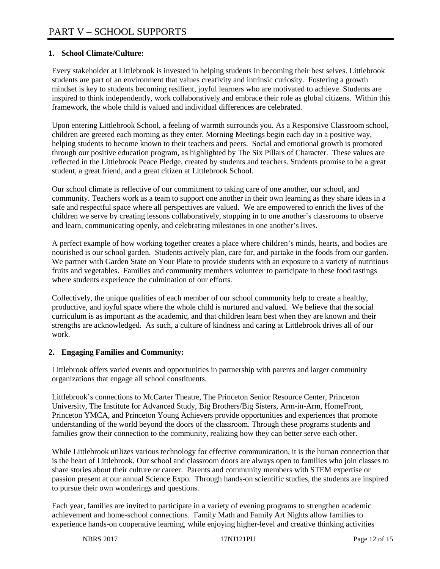# **1. School Climate/Culture:**

Every stakeholder at Littlebrook is invested in helping students in becoming their best selves. Littlebrook students are part of an environment that values creativity and intrinsic curiosity. Fostering a growth mindset is key to students becoming resilient, joyful learners who are motivated to achieve. Students are inspired to think independently, work collaboratively and embrace their role as global citizens. Within this framework, the whole child is valued and individual differences are celebrated.

Upon entering Littlebrook School, a feeling of warmth surrounds you. As a Responsive Classroom school, children are greeted each morning as they enter. Morning Meetings begin each day in a positive way, helping students to become known to their teachers and peers. Social and emotional growth is promoted through our positive education program, as highlighted by The Six Pillars of Character. These values are reflected in the Littlebrook Peace Pledge, created by students and teachers. Students promise to be a great student, a great friend, and a great citizen at Littlebrook School.

Our school climate is reflective of our commitment to taking care of one another, our school, and community. Teachers work as a team to support one another in their own learning as they share ideas in a safe and respectful space where all perspectives are valued. We are empowered to enrich the lives of the children we serve by creating lessons collaboratively, stopping in to one another's classrooms to observe and learn, communicating openly, and celebrating milestones in one another's lives.

A perfect example of how working together creates a place where children's minds, hearts, and bodies are nourished is our school garden. Students actively plan, care for, and partake in the foods from our garden. We partner with Garden State on Your Plate to provide students with an exposure to a variety of nutritious fruits and vegetables. Families and community members volunteer to participate in these food tastings where students experience the culmination of our efforts.

Collectively, the unique qualities of each member of our school community help to create a healthy, productive, and joyful space where the whole child is nurtured and valued. We believe that the social curriculum is as important as the academic, and that children learn best when they are known and their strengths are acknowledged. As such, a culture of kindness and caring at Littlebrook drives all of our work.

## **2. Engaging Families and Community:**

Littlebrook offers varied events and opportunities in partnership with parents and larger community organizations that engage all school constituents.

Littlebrook's connections to McCarter Theatre, The Princeton Senior Resource Center, Princeton University, The Institute for Advanced Study, Big Brothers/Big Sisters, Arm-in-Arm, HomeFront, Princeton YMCA, and Princeton Young Achievers provide opportunities and experiences that promote understanding of the world beyond the doors of the classroom. Through these programs students and families grow their connection to the community, realizing how they can better serve each other.

While Littlebrook utilizes various technology for effective communication, it is the human connection that is the heart of Littlebrook. Our school and classroom doors are always open to families who join classes to share stories about their culture or career. Parents and community members with STEM expertise or passion present at our annual Science Expo. Through hands-on scientific studies, the students are inspired to pursue their own wonderings and questions.

Each year, families are invited to participate in a variety of evening programs to strengthen academic achievement and home-school connections. Family Math and Family Art Nights allow families to experience hands-on cooperative learning, while enjoying higher-level and creative thinking activities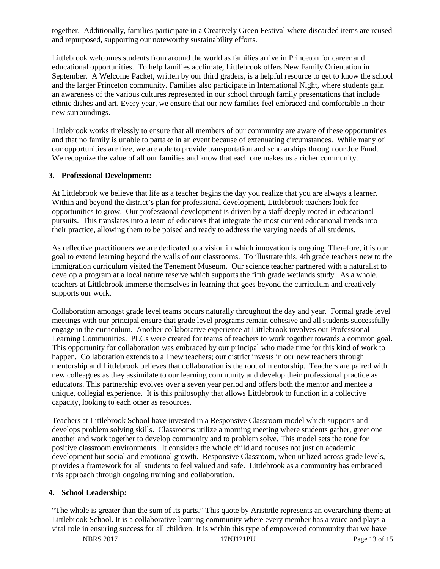together. Additionally, families participate in a Creatively Green Festival where discarded items are reused and repurposed, supporting our noteworthy sustainability efforts.

Littlebrook welcomes students from around the world as families arrive in Princeton for career and educational opportunities. To help families acclimate, Littlebrook offers New Family Orientation in September. A Welcome Packet, written by our third graders, is a helpful resource to get to know the school and the larger Princeton community. Families also participate in International Night, where students gain an awareness of the various cultures represented in our school through family presentations that include ethnic dishes and art. Every year, we ensure that our new families feel embraced and comfortable in their new surroundings.

Littlebrook works tirelessly to ensure that all members of our community are aware of these opportunities and that no family is unable to partake in an event because of extenuating circumstances. While many of our opportunities are free, we are able to provide transportation and scholarships through our Joe Fund. We recognize the value of all our families and know that each one makes us a richer community.

#### **3. Professional Development:**

At Littlebrook we believe that life as a teacher begins the day you realize that you are always a learner. Within and beyond the district's plan for professional development, Littlebrook teachers look for opportunities to grow. Our professional development is driven by a staff deeply rooted in educational pursuits. This translates into a team of educators that integrate the most current educational trends into their practice, allowing them to be poised and ready to address the varying needs of all students.

As reflective practitioners we are dedicated to a vision in which innovation is ongoing. Therefore, it is our goal to extend learning beyond the walls of our classrooms. To illustrate this, 4th grade teachers new to the immigration curriculum visited the Tenement Museum. Our science teacher partnered with a naturalist to develop a program at a local nature reserve which supports the fifth grade wetlands study. As a whole, teachers at Littlebrook immerse themselves in learning that goes beyond the curriculum and creatively supports our work.

Collaboration amongst grade level teams occurs naturally throughout the day and year. Formal grade level meetings with our principal ensure that grade level programs remain cohesive and all students successfully engage in the curriculum. Another collaborative experience at Littlebrook involves our Professional Learning Communities. PLCs were created for teams of teachers to work together towards a common goal. This opportunity for collaboration was embraced by our principal who made time for this kind of work to happen. Collaboration extends to all new teachers; our district invests in our new teachers through mentorship and Littlebrook believes that collaboration is the root of mentorship. Teachers are paired with new colleagues as they assimilate to our learning community and develop their professional practice as educators. This partnership evolves over a seven year period and offers both the mentor and mentee a unique, collegial experience. It is this philosophy that allows Littlebrook to function in a collective capacity, looking to each other as resources.

Teachers at Littlebrook School have invested in a Responsive Classroom model which supports and develops problem solving skills. Classrooms utilize a morning meeting where students gather, greet one another and work together to develop community and to problem solve. This model sets the tone for positive classroom environments. It considers the whole child and focuses not just on academic development but social and emotional growth. Responsive Classroom, when utilized across grade levels, provides a framework for all students to feel valued and safe. Littlebrook as a community has embraced this approach through ongoing training and collaboration.

### **4. School Leadership:**

"The whole is greater than the sum of its parts." This quote by Aristotle represents an overarching theme at Littlebrook School. It is a collaborative learning community where every member has a voice and plays a vital role in ensuring success for all children. It is within this type of empowered community that we have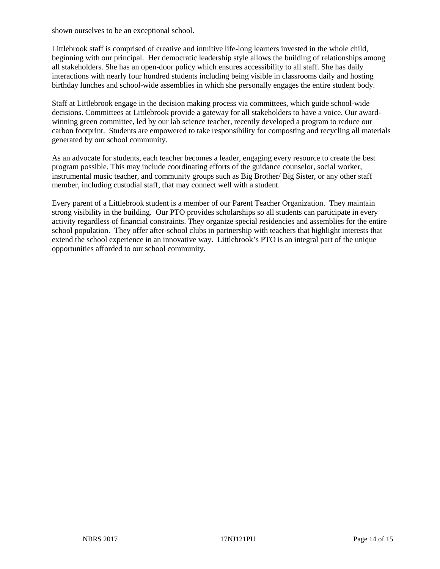shown ourselves to be an exceptional school.

Littlebrook staff is comprised of creative and intuitive life-long learners invested in the whole child, beginning with our principal. Her democratic leadership style allows the building of relationships among all stakeholders. She has an open-door policy which ensures accessibility to all staff. She has daily interactions with nearly four hundred students including being visible in classrooms daily and hosting birthday lunches and school-wide assemblies in which she personally engages the entire student body.

Staff at Littlebrook engage in the decision making process via committees, which guide school-wide decisions. Committees at Littlebrook provide a gateway for all stakeholders to have a voice. Our awardwinning green committee, led by our lab science teacher, recently developed a program to reduce our carbon footprint. Students are empowered to take responsibility for composting and recycling all materials generated by our school community.

As an advocate for students, each teacher becomes a leader, engaging every resource to create the best program possible. This may include coordinating efforts of the guidance counselor, social worker, instrumental music teacher, and community groups such as Big Brother/ Big Sister, or any other staff member, including custodial staff, that may connect well with a student.

Every parent of a Littlebrook student is a member of our Parent Teacher Organization. They maintain strong visibility in the building. Our PTO provides scholarships so all students can participate in every activity regardless of financial constraints. They organize special residencies and assemblies for the entire school population. They offer after-school clubs in partnership with teachers that highlight interests that extend the school experience in an innovative way. Littlebrook's PTO is an integral part of the unique opportunities afforded to our school community.